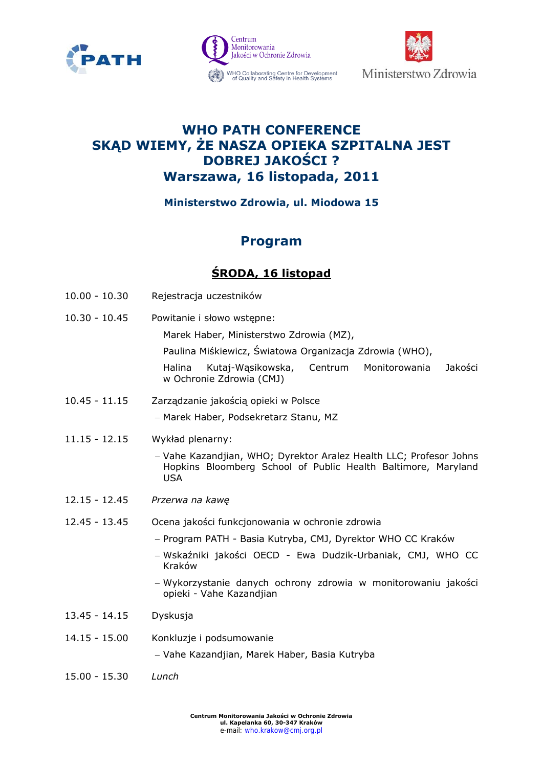





# **WHO PATH CONFERENCE SKĄD WIEMY, ŻE NASZA OPIEKA SZPITALNA JEST DOBREJ JAKOŚCI ? Warszawa, 16 listopada, 2011**

### **Ministerstwo Zdrowia, ul. Miodowa 15**

# **Program**

## **ŚRODA, 16 listopad**

- 10.00 10.30 Rejestracja uczestników
- 10.30 10.45 Powitanie i słowo wstępne:

Marek Haber, Ministerstwo Zdrowia (MZ),

Paulina Miśkiewicz, Światowa Organizacja Zdrowia (WHO),

Halina Kutaj-Wąsikowska, Centrum Monitorowania Jakości w Ochronie Zdrowia (CMJ)

- 10.45 11.15 Zarządzanie jakością opieki w Polsce Marek Haber, Podsekretarz Stanu, MZ
- 11.15 12.15 Wykład plenarny:
	- Vahe Kazandjian, WHO; Dyrektor Aralez Health LLC; Profesor Johns Hopkins Bloomberg School of Public Health Baltimore, Maryland USA
- 12.15 12.45 *Przerwa na kawę*
- 12.45 13.45 Ocena jakości funkcjonowania w ochronie zdrowia
	- Program PATH Basia Kutryba, CMJ, Dyrektor WHO CC Kraków
	- Wskaźniki jakości OECD Ewa Dudzik-Urbaniak, CMJ, WHO CC Kraków
	- Wykorzystanie danych ochrony zdrowia w monitorowaniu jakości opieki - Vahe Kazandjian
- 13.45 14.15 Dyskusja
- 14.15 15.00 Konkluzje i podsumowanie

Vahe Kazandjian, Marek Haber, Basia Kutryba

15.00 - 15.30 *Lunch*